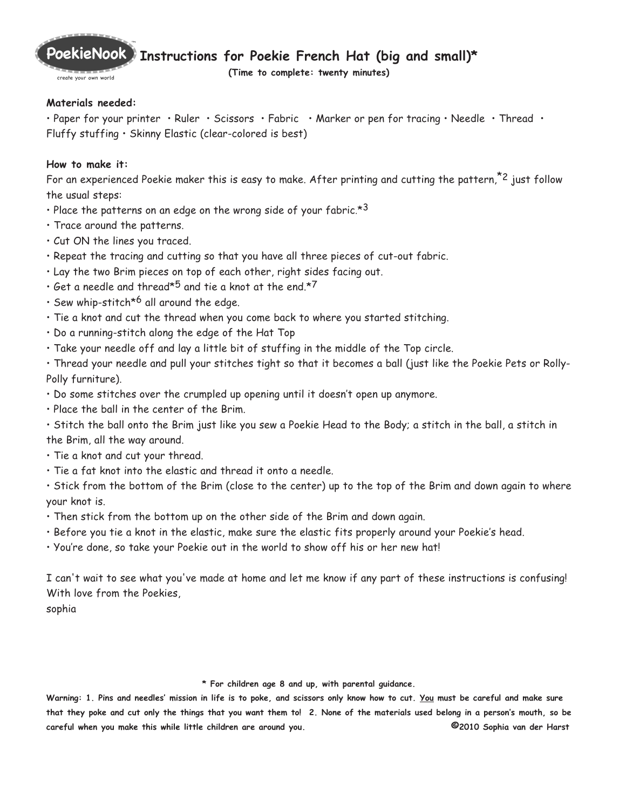

create your own world

**(Time to complete: twenty minutes)**

## **Materials needed:**

• Paper for your printer • Ruler • Scissors • Fabric • Marker or pen for tracing • Needle • Thread • Fluffy stuffing • Skinny Elastic (clear-colored is best)

## **How to make it:**

For an experienced Poekie maker this is easy to make. After printing and cutting the pattern,<sup> $z$ 2</sup> just follow the usual steps:

- Place the patterns on an edge on the wrong side of your fabric. $*3$
- Trace around the patterns.
- Cut ON the lines you traced.
- Repeat the tracing and cutting so that you have all three pieces of cut-out fabric.
- Lay the two Brim pieces on top of each other, right sides facing out.
- Get a needle and thread $*^5$  and tie a knot at the end. $*^7$
- Sew whip-stitch<sup>\*6</sup> all around the edge.
- Tie a knot and cut the thread when you come back to where you started stitching.
- Do a running-stitch along the edge of the Hat Top
- Take your needle off and lay a little bit of stuffing in the middle of the Top circle.

• Thread your needle and pull your stitches tight so that it becomes a ball (just like the Poekie Pets or Rolly-Polly furniture).

- Do some stitches over the crumpled up opening until it doesn't open up anymore.
- Place the ball in the center of the Brim.

• Stitch the ball onto the Brim just like you sew a Poekie Head to the Body; a stitch in the ball, a stitch in the Brim, all the way around.

- Tie a knot and cut your thread.
- Tie a fat knot into the elastic and thread it onto a needle.

• Stick from the bottom of the Brim (close to the center) up to the top of the Brim and down again to where your knot is.

- Then stick from the bottom up on the other side of the Brim and down again.
- Before you tie a knot in the elastic, make sure the elastic fits properly around your Poekie's head.
- You're done, so take your Poekie out in the world to show off his or her new hat!

I can't wait to see what you've made at home and let me know if any part of these instructions is confusing! With love from the Poekies,

sophia

## **\* For children age 8 and up, with parental guidance.**

**Warning: 1. Pins and needles' mission in life is to poke, and scissors only know how to cut. You must be careful and make sure that they poke and cut only the things that you want them to! 2. None of the materials used belong in a person's mouth, so be careful when you make this while little children are around you. ©2010 Sophia van der Harst**